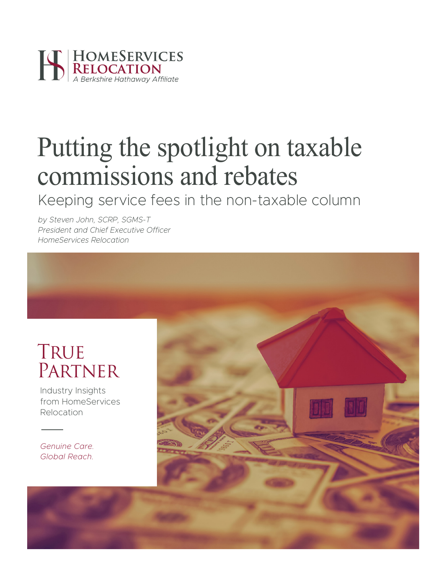

# Putting the spotlight on taxable commissions and rebates

Keeping service fees in the non-taxable column

*by Steven John, SCRP, SGMS-T President and Chief Executive Officer HomeServices Relocation*

### **TRUE PARTNER**

Industry Insights from HomeServices Relocation

*Genuine Care. Global Reach.*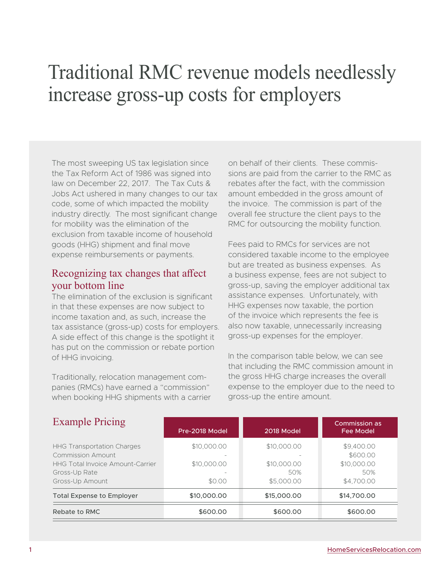## Traditional RMC revenue models needlessly increase gross-up costs for employers

The most sweeping US tax legislation since the Tax Reform Act of 1986 was signed into law on December 22, 2017. The Tax Cuts & Jobs Act ushered in many changes to our tax code, some of which impacted the mobility industry directly. The most significant change for mobility was the elimination of the exclusion from taxable income of household goods (HHG) shipment and final move expense reimbursements or payments.

### Recognizing tax changes that affect your bottom line

The elimination of the exclusion is significant in that these expenses are now subject to income taxation and, as such, increase the tax assistance (gross-up) costs for employers. A side effect of this change is the spotlight it has put on the commission or rebate portion of HHG invoicing.

Traditionally, relocation management companies (RMCs) have earned a "commission" when booking HHG shipments with a carrier on behalf of their clients. These commissions are paid from the carrier to the RMC as rebates after the fact, with the commission amount embedded in the gross amount of the invoice. The commission is part of the overall fee structure the client pays to the RMC for outsourcing the mobility function.

Fees paid to RMCs for services are not considered taxable income to the employee but are treated as business expenses. As a business expense, fees are not subject to gross-up, saving the employer additional tax assistance expenses. Unfortunately, with HHG expenses now taxable, the portion of the invoice which represents the fee is also now taxable, unnecessarily increasing gross-up expenses for the employer.

In the comparison table below, we can see that including the RMC commission amount in the gross HHG charge increases the overall expense to the employer due to the need to gross-up the entire amount.

| <b>Example Pricing</b>                                                                                                                       | Pre-2018 Model                       | 2018 Model                                      | Commission as<br><b>Fee Model</b>                          |
|----------------------------------------------------------------------------------------------------------------------------------------------|--------------------------------------|-------------------------------------------------|------------------------------------------------------------|
| <b>HHG Transportation Charges</b><br><b>Commission Amount</b><br><b>HHG Total Invoice Amount-Carrier</b><br>Gross-Up Rate<br>Gross-Up Amount | \$10,000.00<br>\$10,000.00<br>\$0.00 | \$10,000.00<br>\$10,000.00<br>50%<br>\$5,000.00 | \$9,400.00<br>\$600.00<br>\$10,000.00<br>50%<br>\$4,700.00 |
| <b>Total Expense to Employer</b>                                                                                                             | \$10,000.00                          | \$15,000.00                                     | \$14,700.00                                                |
| Rebate to RMC                                                                                                                                | \$600.00                             | \$600.00                                        | \$600.00                                                   |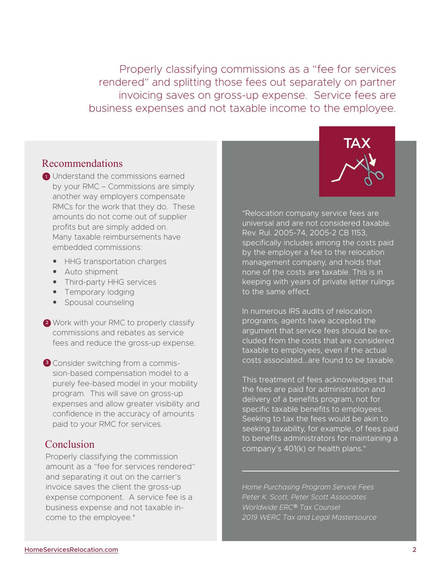Properly classifying commissions as a "fee for services rendered" and splitting those fees out separately on partner invoicing saves on gross-up expense. Service fees are business expenses and not taxable income to the employee.

#### Recommendations

- **1** Understand the commissions earned by your RMC – Commissions are simply another way employers compensate RMCs for the work that they do. These amounts do not come out of supplier profits but are simply added on. Many taxable reimbursements have embedded commissions:
	- HHG transportation charges
	- Auto shipment
	- Third-party HHG services
	- Temporary lodging
	- Spousal counseling
- 2 Work with your RMC to properly classify commissions and rebates as service fees and reduce the gross-up expense.
- <sup>3</sup> Consider switching from a commission-based compensation model to a purely fee-based model in your mobility program. This will save on gross-up expenses and allow greater visibility and confidence in the accuracy of amounts paid to your RMC for services.

#### Conclusion

Properly classifying the commission amount as a "fee for services rendered" and separating it out on the carrier's invoice saves the client the gross-up expense component. A service fee is a business expense and not taxable income to the employee.\*



"Relocation company service fees are universal and are not considered taxable. Rev. Rul. 2005-74, 2005-2 CB 1153, specifically includes among the costs paid by the employer a fee to the relocation management company, and holds that none of the costs are taxable. This is in keeping with years of private letter rulings to the same effect.

In numerous IRS audits of relocation programs, agents have accepted the argument that service fees should be excluded from the costs that are considered taxable to employees, even if the actual costs associated...are found to be taxable.

This treatment of fees acknowledges that the fees are paid for administration and delivery of a benefits program, not for specific taxable benefits to employees. Seeking to tax the fees would be akin to seeking taxability, for example, of fees paid to benefits administrators for maintaining a company's 401(k) or health plans."

*Home Purchasing Program Service Fees Peter K. Scott, Peter Scott Associates Worldwide ERC*® *Tax Counsel 2019 WERC Tax and Legal Mastersource*